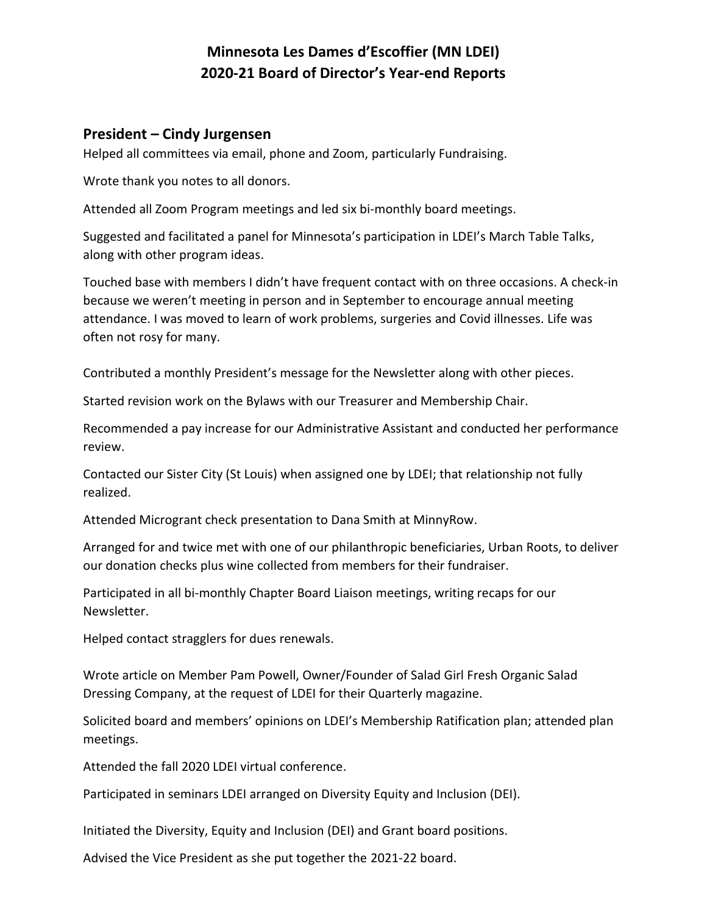# **Minnesota Les Dames d'Escoffier (MN LDEI) 2020-21 Board of Director's Year-end Reports**

#### **President – Cindy Jurgensen**

Helped all committees via email, phone and Zoom, particularly Fundraising.

Wrote thank you notes to all donors.

Attended all Zoom Program meetings and led six bi-monthly board meetings.

Suggested and facilitated a panel for Minnesota's participation in LDEI's March Table Talks, along with other program ideas.

Touched base with members I didn't have frequent contact with on three occasions. A check-in because we weren't meeting in person and in September to encourage annual meeting attendance. I was moved to learn of work problems, surgeries and Covid illnesses. Life was often not rosy for many.

Contributed a monthly President's message for the Newsletter along with other pieces.

Started revision work on the Bylaws with our Treasurer and Membership Chair.

Recommended a pay increase for our Administrative Assistant and conducted her performance review.

Contacted our Sister City (St Louis) when assigned one by LDEI; that relationship not fully realized.

Attended Microgrant check presentation to Dana Smith at MinnyRow.

Arranged for and twice met with one of our philanthropic beneficiaries, Urban Roots, to deliver our donation checks plus wine collected from members for their fundraiser.

Participated in all bi-monthly Chapter Board Liaison meetings, writing recaps for our Newsletter.

Helped contact stragglers for dues renewals.

Wrote article on Member Pam Powell, Owner/Founder of Salad Girl Fresh Organic Salad Dressing Company, at the request of LDEI for their Quarterly magazine.

Solicited board and members' opinions on LDEI's Membership Ratification plan; attended plan meetings.

Attended the fall 2020 LDEI virtual conference.

Participated in seminars LDEI arranged on Diversity Equity and Inclusion (DEI).

Initiated the Diversity, Equity and Inclusion (DEI) and Grant board positions.

Advised the Vice President as she put together the 2021-22 board.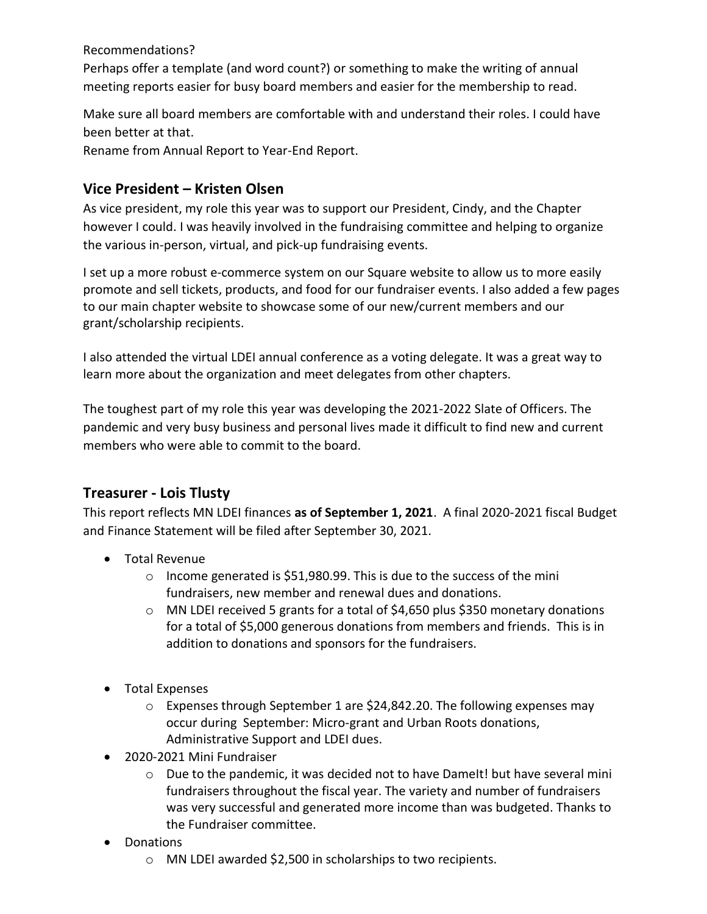Recommendations?

Perhaps offer a template (and word count?) or something to make the writing of annual meeting reports easier for busy board members and easier for the membership to read.

Make sure all board members are comfortable with and understand their roles. I could have been better at that.

Rename from Annual Report to Year-End Report.

## **Vice President – Kristen Olsen**

As vice president, my role this year was to support our President, Cindy, and the Chapter however I could. I was heavily involved in the fundraising committee and helping to organize the various in-person, virtual, and pick-up fundraising events.

I set up a more robust e-commerce system on our Square website to allow us to more easily promote and sell tickets, products, and food for our fundraiser events. I also added a few pages to our main chapter website to showcase some of our new/current members and our grant/scholarship recipients.

I also attended the virtual LDEI annual conference as a voting delegate. It was a great way to learn more about the organization and meet delegates from other chapters.

The toughest part of my role this year was developing the 2021-2022 Slate of Officers. The pandemic and very busy business and personal lives made it difficult to find new and current members who were able to commit to the board.

## **Treasurer - Lois Tlusty**

This report reflects MN LDEI finances **as of September 1, 2021**. A final 2020-2021 fiscal Budget and Finance Statement will be filed after September 30, 2021.

- Total Revenue
	- $\circ$  Income generated is \$51,980.99. This is due to the success of the mini fundraisers, new member and renewal dues and donations.
	- $\circ$  MN LDEI received 5 grants for a total of \$4,650 plus \$350 monetary donations for a total of \$5,000 generous donations from members and friends. This is in addition to donations and sponsors for the fundraisers.
- Total Expenses
	- $\circ$  Expenses through September 1 are \$24,842.20. The following expenses may occur during September: Micro-grant and Urban Roots donations, Administrative Support and LDEI dues.
- 2020-2021 Mini Fundraiser
	- o Due to the pandemic, it was decided not to have DameIt! but have several mini fundraisers throughout the fiscal year. The variety and number of fundraisers was very successful and generated more income than was budgeted. Thanks to the Fundraiser committee.
- Donations
	- o MN LDEI awarded \$2,500 in scholarships to two recipients.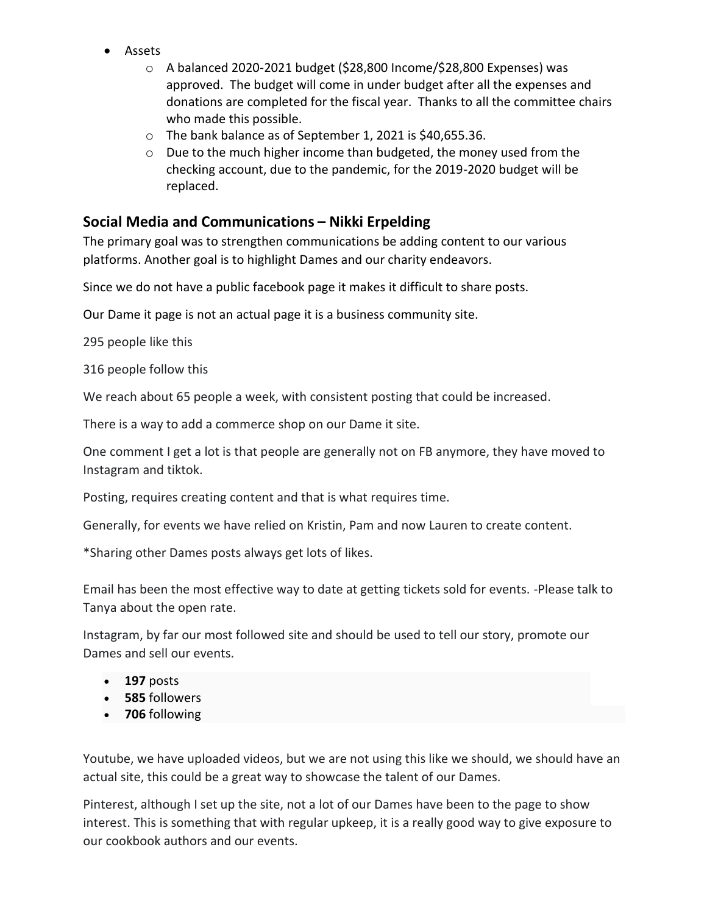- Assets
	- o A balanced 2020-2021 budget (\$28,800 Income/\$28,800 Expenses) was approved. The budget will come in under budget after all the expenses and donations are completed for the fiscal year. Thanks to all the committee chairs who made this possible.
	- o The bank balance as of September 1, 2021 is \$40,655.36.
	- o Due to the much higher income than budgeted, the money used from the checking account, due to the pandemic, for the 2019-2020 budget will be replaced.

## **Social Media and Communications – Nikki Erpelding**

The primary goal was to strengthen communications be adding content to our various platforms. Another goal is to highlight Dames and our charity endeavors.

Since we do not have a public facebook page it makes it difficult to share posts.

Our Dame it page is not an actual page it is a business community site.

295 people like this

316 people follow this

We reach about 65 people a week, with consistent posting that could be increased.

There is a way to add a commerce shop on our Dame it site.

One comment I get a lot is that people are generally not on FB anymore, they have moved to Instagram and tiktok.

Posting, requires creating content and that is what requires time.

Generally, for events we have relied on Kristin, Pam and now Lauren to create content.

\*Sharing other Dames posts always get lots of likes.

Email has been the most effective way to date at getting tickets sold for events. -Please talk to Tanya about the open rate.

Instagram, by far our most followed site and should be used to tell our story, promote our Dames and sell our events.

- **197** posts
- **585** [followers](https://www.instagram.com/lesdamesmn/followers/)
- **706** [following](https://www.instagram.com/lesdamesmn/following/)

Youtube, we have uploaded videos, but we are not using this like we should, we should have an actual site, this could be a great way to showcase the talent of our Dames.

Pinterest, although I set up the site, not a lot of our Dames have been to the page to show interest. This is something that with regular upkeep, it is a really good way to give exposure to our cookbook authors and our events.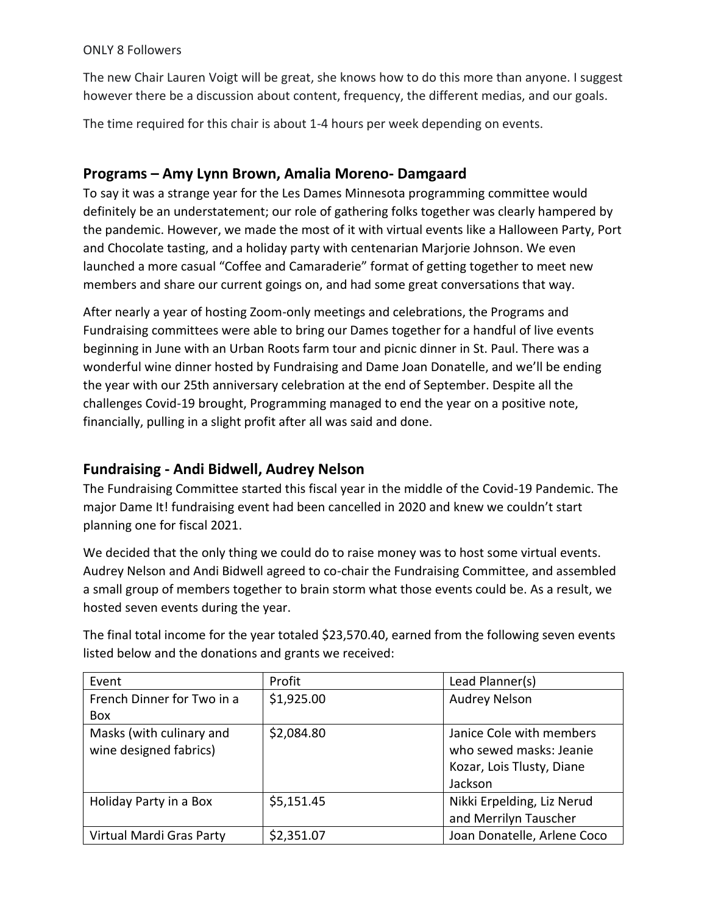#### ONLY 8 Followers

The new Chair Lauren Voigt will be great, she knows how to do this more than anyone. I suggest however there be a discussion about content, frequency, the different medias, and our goals.

The time required for this chair is about 1-4 hours per week depending on events.

# **Programs – Amy Lynn Brown, Amalia Moreno- Damgaard**

To say it was a strange year for the Les Dames Minnesota programming committee would definitely be an understatement; our role of gathering folks together was clearly hampered by the pandemic. However, we made the most of it with virtual events like a Halloween Party, Port and Chocolate tasting, and a holiday party with centenarian Marjorie Johnson. We even launched a more casual "Coffee and Camaraderie" format of getting together to meet new members and share our current goings on, and had some great conversations that way.

After nearly a year of hosting Zoom-only meetings and celebrations, the Programs and Fundraising committees were able to bring our Dames together for a handful of live events beginning in June with an Urban Roots farm tour and picnic dinner in St. Paul. There was a wonderful wine dinner hosted by Fundraising and Dame Joan Donatelle, and we'll be ending the year with our 25th anniversary celebration at the end of September. Despite all the challenges Covid-19 brought, Programming managed to end the year on a positive note, financially, pulling in a slight profit after all was said and done.

# **Fundraising - Andi Bidwell, Audrey Nelson**

The Fundraising Committee started this fiscal year in the middle of the Covid-19 Pandemic. The major Dame It! fundraising event had been cancelled in 2020 and knew we couldn't start planning one for fiscal 2021.

We decided that the only thing we could do to raise money was to host some virtual events. Audrey Nelson and Andi Bidwell agreed to co-chair the Fundraising Committee, and assembled a small group of members together to brain storm what those events could be. As a result, we hosted seven events during the year.

The final total income for the year totaled \$23,570.40, earned from the following seven events listed below and the donations and grants we received:

| Event                      | Profit     | Lead Planner(s)             |
|----------------------------|------------|-----------------------------|
| French Dinner for Two in a | \$1,925.00 | <b>Audrey Nelson</b>        |
| <b>Box</b>                 |            |                             |
| Masks (with culinary and   | \$2,084.80 | Janice Cole with members    |
| wine designed fabrics)     |            | who sewed masks: Jeanie     |
|                            |            | Kozar, Lois Tlusty, Diane   |
|                            |            | Jackson                     |
| Holiday Party in a Box     | \$5,151.45 | Nikki Erpelding, Liz Nerud  |
|                            |            | and Merrilyn Tauscher       |
| Virtual Mardi Gras Party   | \$2,351.07 | Joan Donatelle, Arlene Coco |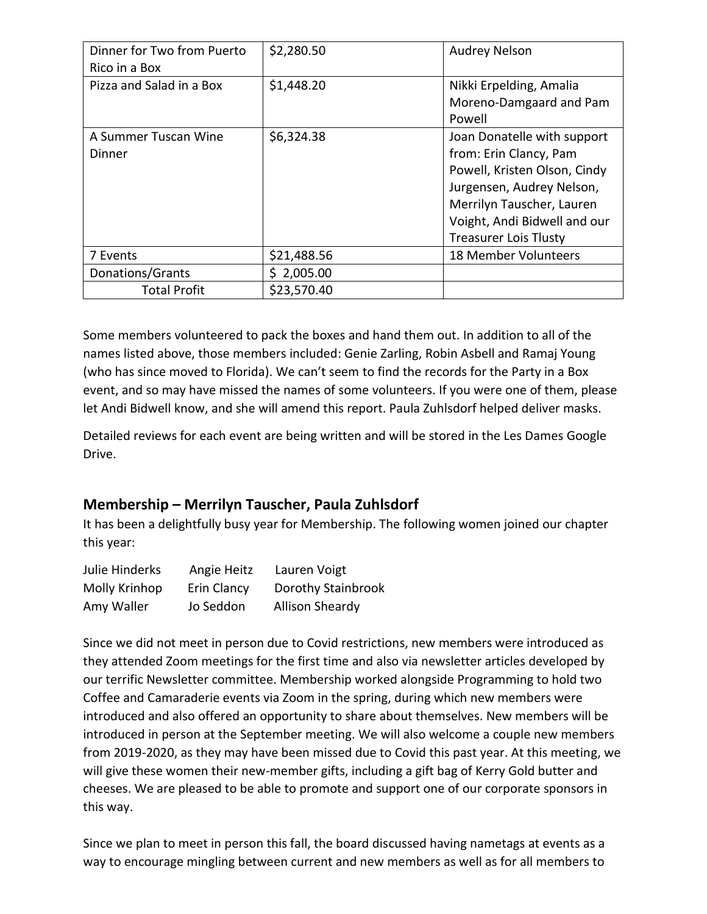| Dinner for Two from Puerto<br>Rico in a Box | \$2,280.50  | <b>Audrey Nelson</b>         |
|---------------------------------------------|-------------|------------------------------|
| Pizza and Salad in a Box                    | \$1,448.20  | Nikki Erpelding, Amalia      |
|                                             |             | Moreno-Damgaard and Pam      |
|                                             |             | Powell                       |
| A Summer Tuscan Wine                        | \$6,324.38  | Joan Donatelle with support  |
| Dinner                                      |             | from: Erin Clancy, Pam       |
|                                             |             | Powell, Kristen Olson, Cindy |
|                                             |             | Jurgensen, Audrey Nelson,    |
|                                             |             | Merrilyn Tauscher, Lauren    |
|                                             |             | Voight, Andi Bidwell and our |
|                                             |             | <b>Treasurer Lois Tlusty</b> |
| 7 Events                                    | \$21,488.56 | 18 Member Volunteers         |
| Donations/Grants                            | \$2,005.00  |                              |
| <b>Total Profit</b>                         | \$23,570.40 |                              |

Some members volunteered to pack the boxes and hand them out. In addition to all of the names listed above, those members included: Genie Zarling, Robin Asbell and Ramaj Young (who has since moved to Florida). We can't seem to find the records for the Party in a Box event, and so may have missed the names of some volunteers. If you were one of them, please let Andi Bidwell know, and she will amend this report. Paula Zuhlsdorf helped deliver masks.

Detailed reviews for each event are being written and will be stored in the Les Dames Google Drive.

## **Membership – Merrilyn Tauscher, Paula Zuhlsdorf**

It has been a delightfully busy year for Membership. The following women joined our chapter this year:

| Julie Hinderks | Angie Heitz | Lauren Voigt           |
|----------------|-------------|------------------------|
| Molly Krinhop  | Erin Clancy | Dorothy Stainbrook     |
| Amy Waller     | Jo Seddon   | <b>Allison Sheardy</b> |

Since we did not meet in person due to Covid restrictions, new members were introduced as they attended Zoom meetings for the first time and also via newsletter articles developed by our terrific Newsletter committee. Membership worked alongside Programming to hold two Coffee and Camaraderie events via Zoom in the spring, during which new members were introduced and also offered an opportunity to share about themselves. New members will be introduced in person at the September meeting. We will also welcome a couple new members from 2019-2020, as they may have been missed due to Covid this past year. At this meeting, we will give these women their new-member gifts, including a gift bag of Kerry Gold butter and cheeses. We are pleased to be able to promote and support one of our corporate sponsors in this way.

Since we plan to meet in person this fall, the board discussed having nametags at events as a way to encourage mingling between current and new members as well as for all members to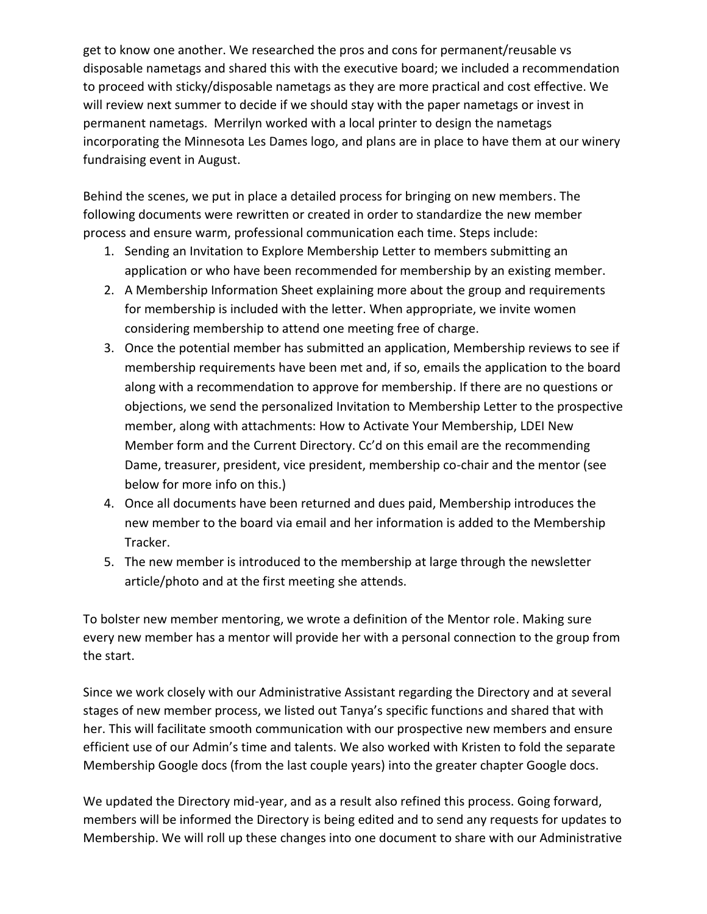get to know one another. We researched the pros and cons for permanent/reusable vs disposable nametags and shared this with the executive board; we included a recommendation to proceed with sticky/disposable nametags as they are more practical and cost effective. We will review next summer to decide if we should stay with the paper nametags or invest in permanent nametags. Merrilyn worked with a local printer to design the nametags incorporating the Minnesota Les Dames logo, and plans are in place to have them at our winery fundraising event in August.

Behind the scenes, we put in place a detailed process for bringing on new members. The following documents were rewritten or created in order to standardize the new member process and ensure warm, professional communication each time. Steps include:

- 1. Sending an Invitation to Explore Membership Letter to members submitting an application or who have been recommended for membership by an existing member.
- 2. A Membership Information Sheet explaining more about the group and requirements for membership is included with the letter. When appropriate, we invite women considering membership to attend one meeting free of charge.
- 3. Once the potential member has submitted an application, Membership reviews to see if membership requirements have been met and, if so, emails the application to the board along with a recommendation to approve for membership. If there are no questions or objections, we send the personalized Invitation to Membership Letter to the prospective member, along with attachments: How to Activate Your Membership, LDEI New Member form and the Current Directory. Cc'd on this email are the recommending Dame, treasurer, president, vice president, membership co-chair and the mentor (see below for more info on this.)
- 4. Once all documents have been returned and dues paid, Membership introduces the new member to the board via email and her information is added to the Membership Tracker.
- 5. The new member is introduced to the membership at large through the newsletter article/photo and at the first meeting she attends.

To bolster new member mentoring, we wrote a definition of the Mentor role. Making sure every new member has a mentor will provide her with a personal connection to the group from the start.

Since we work closely with our Administrative Assistant regarding the Directory and at several stages of new member process, we listed out Tanya's specific functions and shared that with her. This will facilitate smooth communication with our prospective new members and ensure efficient use of our Admin's time and talents. We also worked with Kristen to fold the separate Membership Google docs (from the last couple years) into the greater chapter Google docs.

We updated the Directory mid-year, and as a result also refined this process. Going forward, members will be informed the Directory is being edited and to send any requests for updates to Membership. We will roll up these changes into one document to share with our Administrative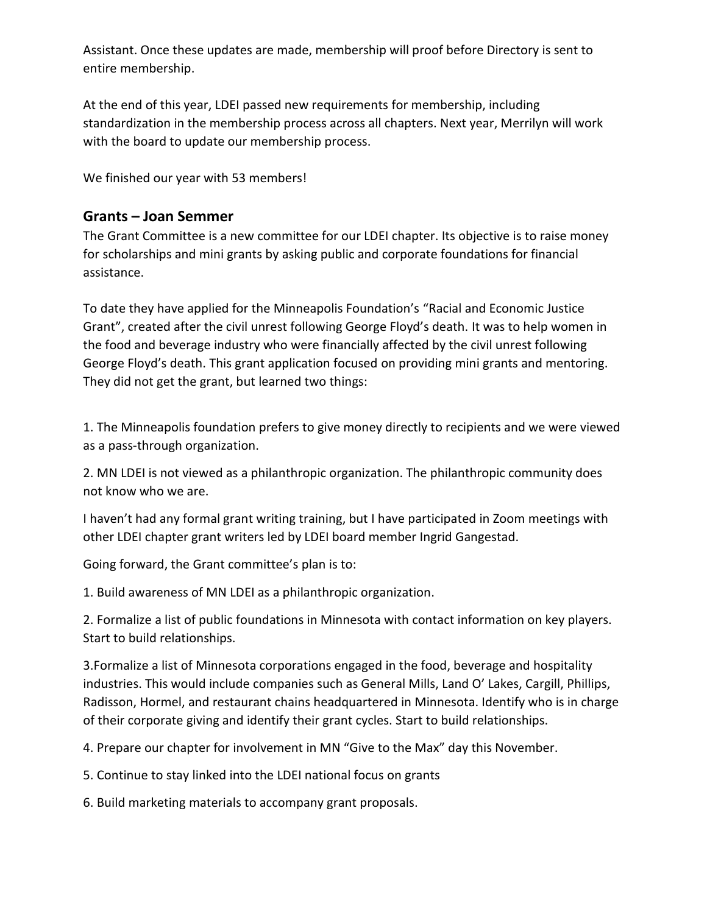Assistant. Once these updates are made, membership will proof before Directory is sent to entire membership.

At the end of this year, LDEI passed new requirements for membership, including standardization in the membership process across all chapters. Next year, Merrilyn will work with the board to update our membership process.

We finished our year with 53 members!

# **Grants – Joan Semmer**

The Grant Committee is a new committee for our LDEI chapter. Its objective is to raise money for scholarships and mini grants by asking public and corporate foundations for financial assistance.

To date they have applied for the Minneapolis Foundation's "Racial and Economic Justice Grant", created after the civil unrest following George Floyd's death. It was to help women in the food and beverage industry who were financially affected by the civil unrest following George Floyd's death. This grant application focused on providing mini grants and mentoring. They did not get the grant, but learned two things:

1. The Minneapolis foundation prefers to give money directly to recipients and we were viewed as a pass-through organization.

2. MN LDEI is not viewed as a philanthropic organization. The philanthropic community does not know who we are.

I haven't had any formal grant writing training, but I have participated in Zoom meetings with other LDEI chapter grant writers led by LDEI board member Ingrid Gangestad.

Going forward, the Grant committee's plan is to:

1. Build awareness of MN LDEI as a philanthropic organization.

2. Formalize a list of public foundations in Minnesota with contact information on key players. Start to build relationships.

3.Formalize a list of Minnesota corporations engaged in the food, beverage and hospitality industries. This would include companies such as General Mills, Land O' Lakes, Cargill, Phillips, Radisson, Hormel, and restaurant chains headquartered in Minnesota. Identify who is in charge of their corporate giving and identify their grant cycles. Start to build relationships.

4. Prepare our chapter for involvement in MN "Give to the Max" day this November.

5. Continue to stay linked into the LDEI national focus on grants

6. Build marketing materials to accompany grant proposals.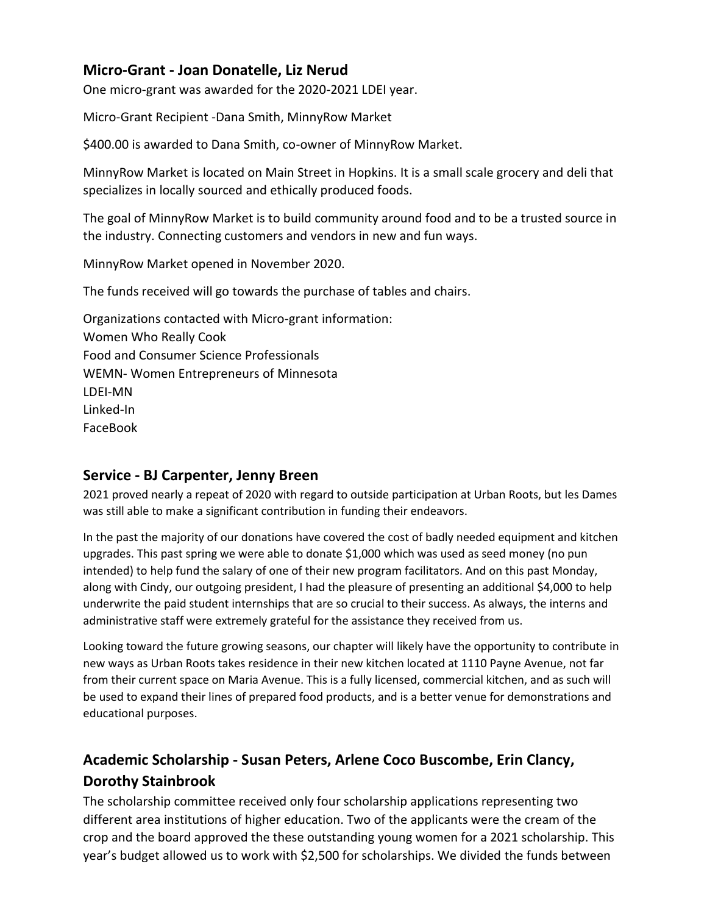## **Micro-Grant - Joan Donatelle, Liz Nerud**

One micro-grant was awarded for the 2020-2021 LDEI year.

Micro-Grant Recipient -Dana Smith, MinnyRow Market

\$400.00 is awarded to Dana Smith, co-owner of MinnyRow Market.

MinnyRow Market is located on Main Street in Hopkins. It is a small scale grocery and deli that specializes in locally sourced and ethically produced foods.

The goal of MinnyRow Market is to build community around food and to be a trusted source in the industry. Connecting customers and vendors in new and fun ways.

MinnyRow Market opened in November 2020.

The funds received will go towards the purchase of tables and chairs.

Organizations contacted with Micro-grant information: Women Who Really Cook Food and Consumer Science Professionals WEMN- Women Entrepreneurs of Minnesota LDEI-MN Linked-In FaceBook

## **Service - BJ Carpenter, Jenny Breen**

2021 proved nearly a repeat of 2020 with regard to outside participation at Urban Roots, but les Dames was still able to make a significant contribution in funding their endeavors.

In the past the majority of our donations have covered the cost of badly needed equipment and kitchen upgrades. This past spring we were able to donate \$1,000 which was used as seed money (no pun intended) to help fund the salary of one of their new program facilitators. And on this past Monday, along with Cindy, our outgoing president, I had the pleasure of presenting an additional \$4,000 to help underwrite the paid student internships that are so crucial to their success. As always, the interns and administrative staff were extremely grateful for the assistance they received from us.

Looking toward the future growing seasons, our chapter will likely have the opportunity to contribute in new ways as Urban Roots takes residence in their new kitchen located at 1110 Payne Avenue, not far from their current space on Maria Avenue. This is a fully licensed, commercial kitchen, and as such will be used to expand their lines of prepared food products, and is a better venue for demonstrations and educational purposes.

# **Academic Scholarship - Susan Peters, Arlene Coco Buscombe, Erin Clancy, Dorothy Stainbrook**

The scholarship committee received only four scholarship applications representing two different area institutions of higher education. Two of the applicants were the cream of the crop and the board approved the these outstanding young women for a 2021 scholarship. This year's budget allowed us to work with \$2,500 for scholarships. We divided the funds between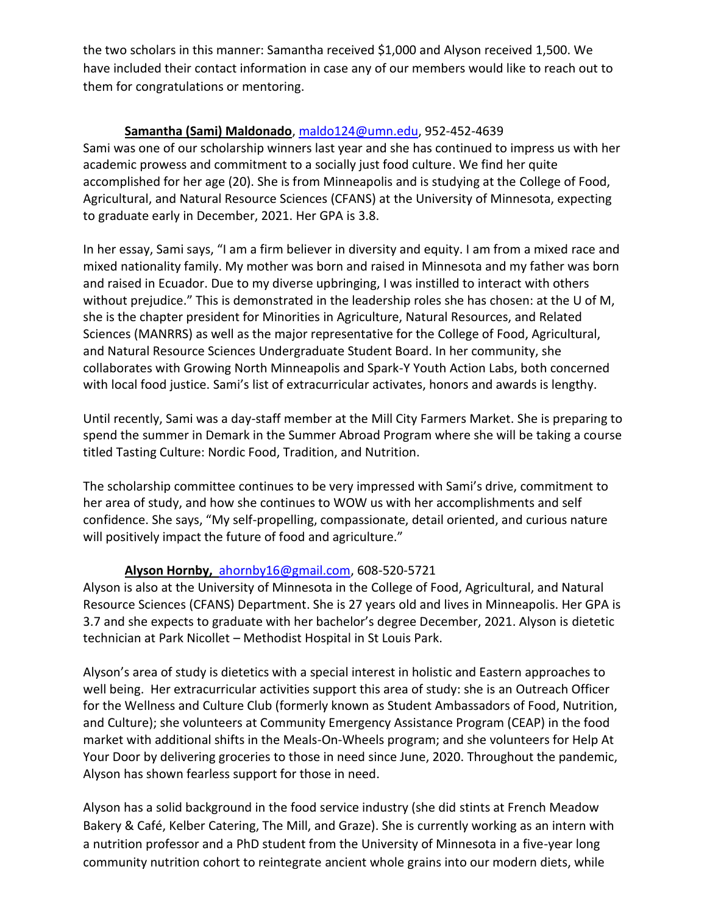the two scholars in this manner: Samantha received \$1,000 and Alyson received 1,500. We have included their contact information in case any of our members would like to reach out to them for congratulations or mentoring.

#### **Samantha (Sami) Maldonado**[, maldo124@umn.edu,](mailto:maldo124@umn.edu) 952-452-4639

Sami was one of our scholarship winners last year and she has continued to impress us with her academic prowess and commitment to a socially just food culture. We find her quite accomplished for her age (20). She is from Minneapolis and is studying at the College of Food, Agricultural, and Natural Resource Sciences (CFANS) at the University of Minnesota, expecting to graduate early in December, 2021. Her GPA is 3.8.

In her essay, Sami says, "I am a firm believer in diversity and equity. I am from a mixed race and mixed nationality family. My mother was born and raised in Minnesota and my father was born and raised in Ecuador. Due to my diverse upbringing, I was instilled to interact with others without prejudice." This is demonstrated in the leadership roles she has chosen: at the U of M, she is the chapter president for Minorities in Agriculture, Natural Resources, and Related Sciences (MANRRS) as well as the major representative for the College of Food, Agricultural, and Natural Resource Sciences Undergraduate Student Board. In her community, she collaborates with Growing North Minneapolis and Spark-Y Youth Action Labs, both concerned with local food justice. Sami's list of extracurricular activates, honors and awards is lengthy.

Until recently, Sami was a day-staff member at the Mill City Farmers Market. She is preparing to spend the summer in Demark in the Summer Abroad Program where she will be taking a course titled Tasting Culture: Nordic Food, Tradition, and Nutrition.

The scholarship committee continues to be very impressed with Sami's drive, commitment to her area of study, and how she continues to WOW us with her accomplishments and self confidence. She says, "My self-propelling, compassionate, detail oriented, and curious nature will positively impact the future of food and agriculture."

#### **Alyson Hornby,** [ahornby16@gmail.com,](mailto:ahornby16@gmail.com) 608-520-5721

Alyson is also at the University of Minnesota in the College of Food, Agricultural, and Natural Resource Sciences (CFANS) Department. She is 27 years old and lives in Minneapolis. Her GPA is 3.7 and she expects to graduate with her bachelor's degree December, 2021. Alyson is dietetic technician at Park Nicollet – Methodist Hospital in St Louis Park.

Alyson's area of study is dietetics with a special interest in holistic and Eastern approaches to well being. Her extracurricular activities support this area of study: she is an Outreach Officer for the Wellness and Culture Club (formerly known as Student Ambassadors of Food, Nutrition, and Culture); she volunteers at Community Emergency Assistance Program (CEAP) in the food market with additional shifts in the Meals-On-Wheels program; and she volunteers for Help At Your Door by delivering groceries to those in need since June, 2020. Throughout the pandemic, Alyson has shown fearless support for those in need.

Alyson has a solid background in the food service industry (she did stints at French Meadow Bakery & Café, Kelber Catering, The Mill, and Graze). She is currently working as an intern with a nutrition professor and a PhD student from the University of Minnesota in a five-year long community nutrition cohort to reintegrate ancient whole grains into our modern diets, while